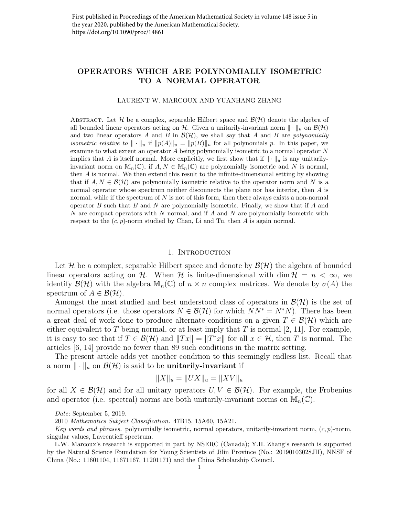# OPERATORS WHICH ARE POLYNOMIALLY ISOMETRIC TO A NORMAL OPERATOR

#### LAURENT W. MARCOUX AND YUANHANG ZHANG

ABSTRACT. Let H be a complex, separable Hilbert space and  $\mathcal{B}(\mathcal{H})$  denote the algebra of all bounded linear operators acting on H. Given a unitarily-invariant norm  $\|\cdot\|_u$  on  $\mathcal{B}(\mathcal{H})$ and two linear operators A and B in  $\mathcal{B}(\mathcal{H})$ , we shall say that A and B are polynomially *isometric relative to*  $\|\cdot\|_u$  if  $\|p(A)\|_u = \|p(B)\|_u$  for all polynomials p. In this paper, we examine to what extent an operator A being polynomially isometric to a normal operator N implies that A is itself normal. More explicitly, we first show that if  $\|\cdot\|_u$  is any unitarilyinvariant norm on  $\mathbb{M}_n(\mathbb{C})$ , if  $A, N \in \mathbb{M}_n(\mathbb{C})$  are polynomially isometric and N is normal, then A is normal. We then extend this result to the infinite-dimensional setting by showing that if  $A, N \in \mathcal{B}(\mathcal{H})$  are polynomially isometric relative to the operator norm and N is a normal operator whose spectrum neither disconnects the plane nor has interior, then A is normal, while if the spectrum of  $N$  is not of this form, then there always exists a non-normal operator B such that B and N are polynomially isometric. Finally, we show that if A and N are compact operators with N normal, and if A and N are polynomially isometric with respect to the  $(c, p)$ -norm studied by Chan, Li and Tu, then A is again normal.

## 1. INTRODUCTION

Let H be a complex, separable Hilbert space and denote by  $\mathcal{B}(\mathcal{H})$  the algebra of bounded linear operators acting on H. When H is finite-dimensional with dim  $H = n < \infty$ , we identify  $\mathcal{B}(\mathcal{H})$  with the algebra  $\mathbb{M}_n(\mathbb{C})$  of  $n \times n$  complex matrices. We denote by  $\sigma(A)$  the spectrum of  $A \in \mathcal{B}(\mathcal{H})$ .

Amongst the most studied and best understood class of operators in  $\mathcal{B}(\mathcal{H})$  is the set of normal operators (i.e. those operators  $N \in \mathcal{B}(\mathcal{H})$  for which  $NN^* = N^*N$ ). There has been a great deal of work done to produce alternate conditions on a given  $T \in \mathcal{B}(\mathcal{H})$  which are either equivalent to T being normal, or at least imply that T is normal [2, 11]. For example, it is easy to see that if  $T \in \mathcal{B}(\mathcal{H})$  and  $||Tx|| = ||T^*x||$  for all  $x \in \mathcal{H}$ , then T is normal. The articles [6, 14] provide no fewer than 89 such conditions in the matrix setting.

The present article adds yet another condition to this seemingly endless list. Recall that a norm  $\|\cdot\|_u$  on  $\mathcal{B}(\mathcal{H})$  is said to be unitarily-invariant if

$$
||X||_u = ||UX||_u = ||XV||_u
$$

for all  $X \in \mathcal{B}(\mathcal{H})$  and for all unitary operators  $U, V \in \mathcal{B}(\mathcal{H})$ . For example, the Frobenius and operator (i.e. spectral) norms are both unitarily-invariant norms on  $\mathbb{M}_n(\mathbb{C})$ .

Date: September 5, 2019.

<sup>2010</sup> Mathematics Subject Classification. 47B15, 15A60, 15A21.

Key words and phrases. polynomially isometric, normal operators, unitarily-invariant norm,  $(c, p)$ -norm, singular values, Lavrentieff spectrum.

L.W. Marcoux's research is supported in part by NSERC (Canada); Y.H. Zhang's research is supported by the Natural Science Foundation for Young Scientists of Jilin Province (No.: 20190103028JH), NNSF of China (No.: 11601104, 11671167, 11201171) and the China Scholarship Council.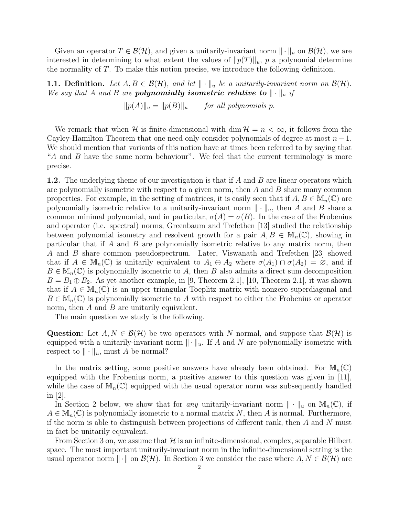Given an operator  $T \in \mathcal{B}(\mathcal{H})$ , and given a unitarily-invariant norm  $\|\cdot\|_u$  on  $\mathcal{B}(\mathcal{H})$ , we are interested in determining to what extent the values of  $||p(T)||_u$ , p a polynomial determine the normality of T. To make this notion precise, we introduce the following definition.

**1.1. Definition.** Let  $A, B \in \mathcal{B}(\mathcal{H})$ , and let  $\|\cdot\|_u$  be a unitarily-invariant norm on  $\mathcal{B}(\mathcal{H})$ . We say that A and B are **polynomially isometric relative to**  $\|\cdot\|_u$  if

 $||p(A)||_u = ||p(B)||_u$  for all polynomials p.

We remark that when H is finite-dimensional with dim  $\mathcal{H} = n < \infty$ , it follows from the Cayley-Hamilton Theorem that one need only consider polynomials of degree at most  $n-1$ . We should mention that variants of this notion have at times been referred to by saying that "A and B have the same norm behaviour". We feel that the current terminology is more precise.

1.2. The underlying theme of our investigation is that if A and B are linear operators which are polynomially isometric with respect to a given norm, then  $A$  and  $B$  share many common properties. For example, in the setting of matrices, it is easily seen that if  $A, B \in M_n(\mathbb{C})$  are polynomially isometric relative to a unitarily-invariant norm  $\|\cdot\|_u$ , then A and B share a common minimal polynomial, and in particular,  $\sigma(A) = \sigma(B)$ . In the case of the Frobenius and operator (i.e. spectral) norms, Greenbaum and Trefethen [13] studied the relationship between polynomial isometry and resolvent growth for a pair  $A, B \in M_n(\mathbb{C})$ , showing in particular that if A and B are polynomially isometric relative to any matrix norm, then A and B share common pseudospectrum. Later, Viswanath and Trefethen [23] showed that if  $A \in M_n(\mathbb{C})$  is unitarily equivalent to  $A_1 \oplus A_2$  where  $\sigma(A_1) \cap \sigma(A_2) = \emptyset$ , and if  $B \in M_n(\mathbb{C})$  is polynomially isometric to A, then B also admits a direct sum decomposition  $B = B_1 \oplus B_2$ . As yet another example, in [9, Theorem 2.1], [10, Theorem 2.1], it was shown that if  $A \in M_n(\mathbb{C})$  is an upper triangular Toeplitz matrix with nonzero superdiagonal and  $B \in M_n(\mathbb{C})$  is polynomially isometric to A with respect to either the Frobenius or operator norm, then  $A$  and  $B$  are unitarily equivalent.

The main question we study is the following.

Question: Let  $A, N \in \mathcal{B}(\mathcal{H})$  be two operators with N normal, and suppose that  $\mathcal{B}(\mathcal{H})$  is equipped with a unitarily-invariant norm  $\|\cdot\|_u$ . If A and N are polynomially isometric with respect to  $\|\cdot\|_u$ , must A be normal?

In the matrix setting, some positive answers have already been obtained. For  $\mathbb{M}_n(\mathbb{C})$ equipped with the Frobenius norm, a positive answer to this question was given in [11], while the case of  $\mathbb{M}_n(\mathbb{C})$  equipped with the usual operator norm was subsequently handled in  $|2|$ .

In Section 2 below, we show that for any unitarily-invariant norm  $\|\cdot\|_u$  on  $\mathbb{M}_n(\mathbb{C})$ , if  $A \in M_n(\mathbb{C})$  is polynomially isometric to a normal matrix N, then A is normal. Furthermore, if the norm is able to distinguish between projections of different rank, then  $A$  and  $N$  must in fact be unitarily equivalent.

From Section 3 on, we assume that  $H$  is an infinite-dimensional, complex, separable Hilbert space. The most important unitarily-invariant norm in the infinite-dimensional setting is the usual operator norm  $\|\cdot\|$  on  $\mathcal{B}(\mathcal{H})$ . In Section 3 we consider the case where  $A, N \in \mathcal{B}(\mathcal{H})$  are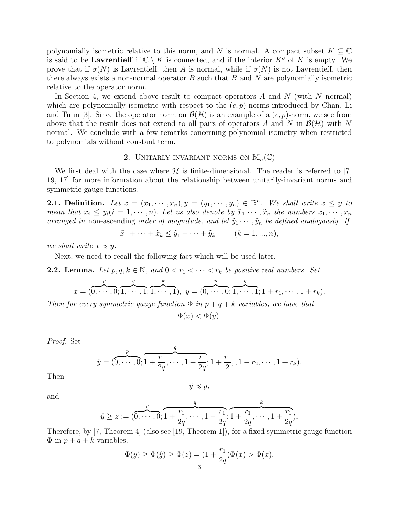polynomially isometric relative to this norm, and N is normal. A compact subset  $K \subseteq \mathbb{C}$ is said to be **Lavrentieff** if  $\mathbb{C} \setminus K$  is connected, and if the interior  $K^{\circ}$  of K is empty. We prove that if  $\sigma(N)$  is Lavrentieff, then A is normal, while if  $\sigma(N)$  is not Lavrentieff, then there always exists a non-normal operator  $B$  such that  $B$  and  $N$  are polynomially isometric relative to the operator norm.

In Section 4, we extend above result to compact operators  $A$  and  $N$  (with  $N$  normal) which are polynomially isometric with respect to the  $(c, p)$ -norms introduced by Chan, Li and Tu in [3]. Since the operator norm on  $\mathcal{B}(\mathcal{H})$  is an example of a  $(c, p)$ -norm, we see from above that the result does not extend to all pairs of operators A and N in  $\mathcal{B}(\mathcal{H})$  with N normal. We conclude with a few remarks concerning polynomial isometry when restricted to polynomials without constant term.

# 2. UNITARLY-INVARIANT NORMS ON  $\mathbb{M}_{n}(\mathbb{C})$

We first deal with the case where  $\mathcal H$  is finite-dimensional. The reader is referred to [7, 19, 17] for more information about the relationship between unitarily-invariant norms and symmetric gauge functions.

**2.1. Definition.** Let  $x = (x_1, \dots, x_n), y = (y_1, \dots, y_n) \in \mathbb{R}^n$ . We shall write  $x \leq y$  to mean that  $x_i \leq y_i (i = 1, \dots, n)$ . Let us also denote by  $\tilde{x}_1 \cdots, \tilde{x}_n$  the numbers  $x_1, \dots, x_n$ arranged in non-ascending order of magnitude, and let  $\tilde{y}_1 \cdots, \tilde{y}_n$  be defined analogously. If

$$
\tilde{x}_1 + \dots + \tilde{x}_k \le \tilde{y}_1 + \dots + \tilde{y}_k \qquad (k = 1, ..., n),
$$

we shall write  $x \preccurlyeq y$ .

Next, we need to recall the following fact which will be used later.

**2.2. Lemma.** Let  $p, q, k \in \mathbb{N}$ , and  $0 < r_1 < \cdots < r_k$  be positive real numbers. Set

$$
x = (0, \dots, 0; 1, \dots, 1; 1, \dots, 1), \ y = (0, \dots, 0; 1, \dots, 1; 1 + r_1, \dots, 1 + r_k),
$$

Then for every symmetric gauge function  $\Phi$  in  $p+q+k$  variables, we have that

 $\Phi(x) < \Phi(y)$ .

Proof. Set

$$
\hat{y} = (\overbrace{0, \cdots, 0}^{p}; \overbrace{1 + \frac{r_1}{2q}, \cdots, 1 + \frac{r_1}{2q}}^{q}; 1 + \frac{r_1}{2}, 1 + r_2, \cdots, 1 + r_k).
$$

Then

and

 $\hat{y} \preccurlyeq y$ ,

$$
f_{\rm{max}}
$$

$$
\hat{y} \ge z := \underbrace{(0, \cdots, 0)}_{\mathcal{I}}; \underbrace{1 + \frac{r_1}{2q}, \cdots, 1 + \frac{r_1}{2q}}_{\mathcal{I}}; \underbrace{1 + \frac{r_1}{2q}, \cdots, 1 + \frac{r_1}{2q}}_{\mathcal{I}}).
$$

Therefore, by [7, Theorem 4] (also see [19, Theorem 1]), for a fixed symmetric gauge function  $\Phi$  in  $p + q + k$  variables,

$$
\Phi(y) \ge \Phi(\hat{y}) \ge \Phi(z) = (1 + \frac{r_1}{2q})\Phi(x) > \Phi(x).
$$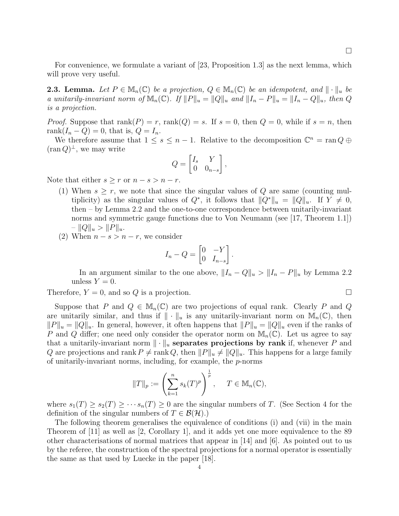For convenience, we formulate a variant of [23, Proposition 1.3] as the next lemma, which will prove very useful.

**2.3. Lemma.** Let  $P \in M_n(\mathbb{C})$  be a projection,  $Q \in M_n(\mathbb{C})$  be an idempotent, and  $\|\cdot\|_u$  be a unitarily-invariant norm of  $\mathbb{M}_n(\mathbb{C})$ . If  $||P||_u = ||Q||_u$  and  $||I_n - P||_u = ||I_n - Q||_u$ , then Q is a projection.

*Proof.* Suppose that  $\text{rank}(P) = r$ ,  $\text{rank}(Q) = s$ . If  $s = 0$ , then  $Q = 0$ , while if  $s = n$ , then rank $(I_n - Q) = 0$ , that is,  $Q = I_n$ .

We therefore assume that  $1 \leq s \leq n-1$ . Relative to the decomposition  $\mathbb{C}^n = \text{ran } Q \oplus$  $(\operatorname{ran} Q)^{\perp}$ , we may write

$$
Q = \begin{bmatrix} I_s & Y \\ 0 & 0_{n-s} \end{bmatrix},
$$

Note that either  $s \geq r$  or  $n - s > n - r$ .

(1) When  $s \geq r$ , we note that since the singular values of Q are same (counting multiplicity) as the singular values of  $Q^*$ , it follows that  $||Q^*||_u = ||Q||_u$ . If  $Y \neq 0$ , then – by Lemma 2.2 and the one-to-one correspondence between unitarily-invariant norms and symmetric gauge functions due to Von Neumann (see [17, Theorem 1.1])  $-||Q||_u > ||P||_u.$ 

(2) When  $n - s > n - r$ , we consider

$$
I_n - Q = \begin{bmatrix} 0 & -Y \\ 0 & I_{n-s} \end{bmatrix}.
$$

In an argument similar to the one above,  $||I_n - Q||_u > ||I_n - P||_u$  by Lemma 2.2 unless  $Y = 0$ .

Therefore,  $Y = 0$ , and so Q is a projection.

Suppose that P and  $Q \in M_n(\mathbb{C})$  are two projections of equal rank. Clearly P and Q are unitarily similar, and thus if  $\|\cdot\|_u$  is any unitarily-invariant norm on  $\mathbb{M}_n(\mathbb{C})$ , then  $||P||_u = ||Q||_u$ . In general, however, it often happens that  $||P||_u = ||Q||_u$  even if the ranks of P and Q differ; one need only consider the operator norm on  $\mathbb{M}_{n}(\mathbb{C})$ . Let us agree to say that a unitarily-invariant norm  $\|\cdot\|_u$  separates projections by rank if, whenever P and Q are projections and rank  $P \neq \text{rank } Q$ , then  $||P||_u \neq ||Q||_u$ . This happens for a large family of unitarily-invariant norms, including, for example, the p-norms

$$
||T||_p := \left(\sum_{k=1}^n s_k(T)^p\right)^{\frac{1}{p}}, \quad T \in \mathbb{M}_n(\mathbb{C}),
$$

where  $s_1(T) \geq s_2(T) \geq \cdots s_n(T) \geq 0$  are the singular numbers of T. (See Section 4 for the definition of the singular numbers of  $T \in \mathcal{B}(\mathcal{H})$ .

The following theorem generalises the equivalence of conditions (i) and (vii) in the main Theorem of [11] as well as [2, Corollary 1], and it adds yet one more equivalence to the 89 other characterisations of normal matrices that appear in [14] and [6]. As pointed out to us by the referee, the construction of the spectral projections for a normal operator is essentially the same as that used by Luecke in the paper [18].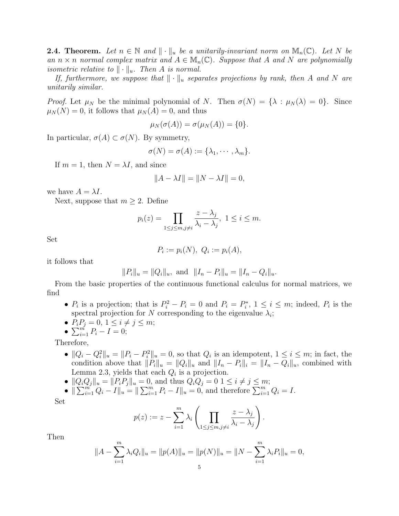**2.4. Theorem.** Let  $n \in \mathbb{N}$  and  $\|\cdot\|_u$  be a unitarily-invariant norm on  $\mathbb{M}_n(\mathbb{C})$ . Let N be an  $n \times n$  normal complex matrix and  $A \in M_n(\mathbb{C})$ . Suppose that A and N are polynomially isometric relative to  $\|\cdot\|_u$ . Then A is normal.

If, furthermore, we suppose that  $\|\cdot\|_u$  separates projections by rank, then A and N are unitarily similar.

Proof. Let  $\mu_N$  be the minimal polynomial of N. Then  $\sigma(N) = {\lambda : \mu_N(\lambda) = 0}$ . Since  $\mu_N(N) = 0$ , it follows that  $\mu_N(A) = 0$ , and thus

$$
\mu_N(\sigma(A))=\sigma(\mu_N(A))=\{0\}.
$$

In particular,  $\sigma(A) \subset \sigma(N)$ . By symmetry,

$$
\sigma(N)=\sigma(A):=\{\lambda_1,\cdots,\lambda_m\}.
$$

If  $m = 1$ , then  $N = \lambda I$ , and since

$$
||A - \lambda I|| = ||N - \lambda I|| = 0,
$$

we have  $A = \lambda I$ .

Next, suppose that  $m \geq 2$ . Define

$$
p_i(z) = \prod_{1 \le j \le m, j \ne i} \frac{z - \lambda_j}{\lambda_i - \lambda_j}, \ 1 \le i \le m.
$$

Set

$$
P_i := p_i(N), \ Q_i := p_i(A),
$$

it follows that

$$
||P_i||_u = ||Q_i||_u
$$
, and  $||I_n - P_i||_u = ||I_n - Q_i||_u$ .

From the basic properties of the continuous functional calculus for normal matrices, we find

- $P_i$  is a projection; that is  $P_i^2 P_i = 0$  and  $P_i = P_i^*$ ,  $1 \le i \le m$ ; indeed,  $P_i$  is the spectral projection for N corresponding to the eigenvalue  $\lambda_i$ ;
- $P_i P_j = 0, 1 \le i \ne j \le m;$
- $\sum_{i=1}^{m} P_i I = 0;$

Therefore,

- $||Q_i Q_i^2||_u = ||P_i P_i^2||_u = 0$ , so that  $Q_i$  is an idempotent,  $1 \le i \le m$ ; in fact, the condition above that  $\|\tilde{P}_i\|_u = \|Q_i\|_u$  and  $\|I_n - P_i\|_i = \|I_n - Q_i\|_u$ , combined with Lemma 2.3, yields that each  $Q_i$  is a projection.
- $||Q_iQ_j||_u = ||P_iP_j||_u = 0$ , and thus  $Q_iQ_j = 0$   $1 \le i \ne j \le m$ ;

• 
$$
\|\sum_{i=1}^{m} Q_i - I\|_u = \|\sum_{i=1}^{m} P_i - I\|_u = 0
$$
, and therefore  $\sum_{i=1}^{m} Q_i = I$ .

Set

$$
p(z) := z - \sum_{i=1}^{m} \lambda_i \left( \prod_{1 \leq j \leq m, j \neq i} \frac{z - \lambda_j}{\lambda_i - \lambda_j} \right).
$$

Then

$$
||A - \sum_{i=1}^{m} \lambda_i Q_i||_u = ||p(A)||_u = ||p(N)||_u = ||N - \sum_{i=1}^{m} \lambda_i P_i||_u = 0,
$$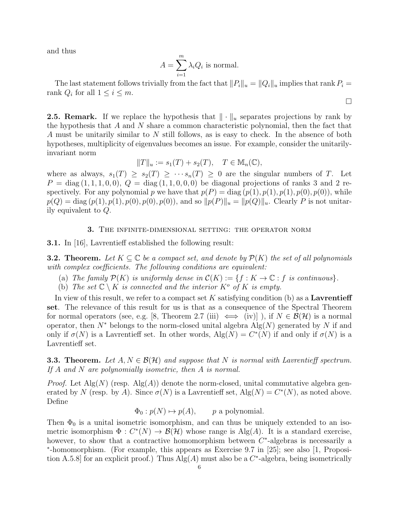and thus

$$
A = \sum_{i=1}^{m} \lambda_i Q_i
$$
 is normal.

The last statement follows trivially from the fact that  $||P_i||_u = ||Q_i||_u$  implies that rank  $P_i =$ rank  $Q_i$  for all  $1 \leq i \leq m$ .

 $\Box$ 

**2.5. Remark.** If we replace the hypothesis that  $\|\cdot\|_u$  separates projections by rank by the hypothesis that A and N share a common characteristic polynomial, then the fact that A must be unitarily similar to N still follows, as is easy to check. In the absence of both hypotheses, multiplicity of eigenvalues becomes an issue. For example, consider the unitarilyinvariant norm

$$
||T||_u := s_1(T) + s_2(T), \quad T \in \mathbb{M}_n(\mathbb{C}),
$$

where as always,  $s_1(T) \geq s_2(T) \geq \cdots s_n(T) \geq 0$  are the singular numbers of T. Let  $P = diag(1, 1, 1, 0, 0), Q = diag(1, 1, 0, 0, 0)$  be diagonal projections of ranks 3 and 2 respectively. For any polynomial p we have that  $p(P) = \text{diag}(p(1), p(1), p(1), p(0), p(0))$ , while  $p(Q) = \text{diag}(p(1), p(1), p(0), p(0), p(0)),$  and so  $||p(P)||_u = ||p(Q)||_u$ . Clearly P is not unitarily equivalent to Q.

#### 3. The infinite-dimensional setting: the operator norm

3.1. In [16], Lavrentieff established the following result:

**3.2. Theorem.** Let  $K \subseteq \mathbb{C}$  be a compact set, and denote by  $\mathcal{P}(K)$  the set of all polynomials with complex coefficients. The following conditions are equivalent:

- (a) The family  $\mathcal{P}(K)$  is uniformly dense in  $\mathcal{C}(K) := \{f : K \to \mathbb{C} : f$  is continuous.
- (b) The set  $\mathbb{C} \setminus K$  is connected and the interior  $K^{\circ}$  of K is empty.

In view of this result, we refer to a compact set K satisfying condition (b) as a **Lavrentieff** set. The relevance of this result for us is that as a consequence of the Spectral Theorem for normal operators (see, e.g. [8, Theorem 2.7 (iii)  $\iff$  (iv)]), if  $N \in \mathcal{B}(\mathcal{H})$  is a normal operator, then  $N^*$  belongs to the norm-closed unital algebra  $\text{Alg}(N)$  generated by N if and only if  $\sigma(N)$  is a Lavrentieff set. In other words,  $\text{Alg}(N) = C^*(N)$  if and only if  $\sigma(N)$  is a Lavrentieff set.

**3.3. Theorem.** Let  $A, N \in \mathcal{B}(\mathcal{H})$  and suppose that N is normal with Lavrentieff spectrum. If A and N are polynomially isometric, then A is normal.

*Proof.* Let  $\text{Alg}(N)$  (resp.  $\text{Alg}(A)$ ) denote the norm-closed, unital commutative algebra generated by N (resp. by A). Since  $\sigma(N)$  is a Lavrentieff set,  $\text{Alg}(N) = C^*(N)$ , as noted above. Define

 $\Phi_0: p(N) \mapsto p(A)$ , p a polynomial.

Then  $\Phi_0$  is a unital isometric isomorphism, and can thus be uniquely extended to an isometric isomorphism  $\Phi: C^*(N) \to \mathcal{B}(\mathcal{H})$  whose range is Alg(A). It is a standard exercise, however, to show that a contractive homomorphism between  $C^*$ -algebras is necessarily a ∗ -homomorphism. (For example, this appears as Exercise 9.7 in [25]; see also [1, Proposition A.5.8] for an explicit proof.) Thus  $\text{Alg}(A)$  must also be a  $C^*$ -algebra, being isometrically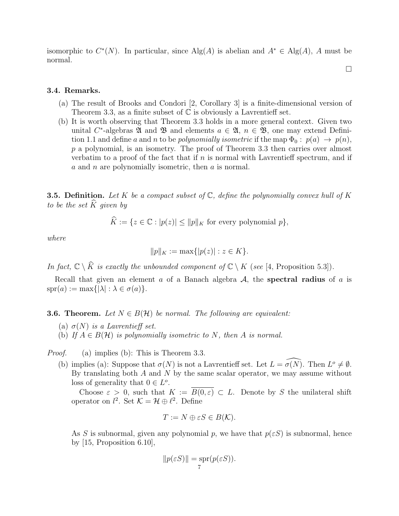isomorphic to  $C^*(N)$ . In particular, since  $\text{Alg}(A)$  is abelian and  $A^* \in \text{Alg}(A)$ , A must be normal.

 $\Box$ 

## 3.4. Remarks.

- (a) The result of Brooks and Condori [2, Corollary 3] is a finite-dimensional version of Theorem 3.3, as a finite subset of  $\mathbb C$  is obviously a Lavrentieff set.
- (b) It is worth observing that Theorem 3.3 holds in a more general context. Given two unital C<sup>\*</sup>-algebras  $\mathfrak A$  and  $\mathfrak B$  and elements  $a \in \mathfrak A$ ,  $n \in \mathfrak B$ , one may extend Definition 1.1 and define a and n to be polynomially isometric if the map  $\Phi_0: p(a) \to p(n)$ , p a polynomial, is an isometry. The proof of Theorem 3.3 then carries over almost verbatim to a proof of the fact that if  $n$  is normal with Lavrentieff spectrum, and if a and n are polynomially isometric, then  $\alpha$  is normal.

**3.5. Definition.** Let K be a compact subset of  $\mathbb{C}$ , define the polynomially convex hull of K to be the set  $\widehat{K}$  given by

 $\widehat{K} := \{z \in \mathbb{C} : |p(z)| \le ||p||_K \text{ for every polynomial } p\},\$ 

where

$$
||p||_K := \max\{|p(z)| : z \in K\}.
$$

In fact,  $\mathbb{C} \setminus \widehat{K}$  is exactly the unbounded component of  $\mathbb{C} \setminus K$  (see [4, Proposition 5.3]).

Recall that given an element a of a Banach algebra  $A$ , the spectral radius of a is  $spr(a) := max\{|\lambda| : \lambda \in \sigma(a)\}.$ 

**3.6. Theorem.** Let  $N \in B(H)$  be normal. The following are equivalent:

- (a)  $\sigma(N)$  is a Lavrentieff set.
- (b) If  $A \in B(\mathcal{H})$  is polynomially isometric to N, then A is normal.

*Proof.* (a) implies (b): This is Theorem 3.3.

(b) implies (a): Suppose that  $\sigma(N)$  is not a Lavrentieff set. Let  $L = \widehat{\sigma(N)}$ . Then  $L^{\circ} \neq \emptyset$ . By translating both  $A$  and  $N$  by the same scalar operator, we may assume without loss of generality that  $0 \in L^o$ .

Choose  $\varepsilon > 0$ , such that  $K := \overline{B(0,\varepsilon)} \subset L$ . Denote by S the unilateral shift operator on  $l^2$ . Set  $\mathcal{K} = \mathcal{H} \oplus \ell^2$ . Define

$$
T := N \oplus \varepsilon S \in B(K).
$$

As S is subnormal, given any polynomial p, we have that  $p(\epsilon S)$  is subnormal, hence by [15, Proposition 6.10],

$$
||p(\varepsilon S)|| = \sup_{7} (p(\varepsilon S)).
$$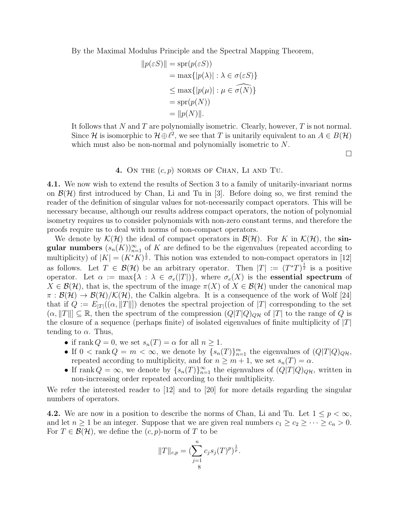By the Maximal Modulus Principle and the Spectral Mapping Theorem,

$$
||p(\varepsilon S)|| = \text{spr}(p(\varepsilon S))
$$
  
= max{ $p(\lambda)$  :  $\lambda \in \sigma(\varepsilon S)$ }  
 $\leq \max\{|p(\mu)| : \mu \in \widehat{\sigma(N)}\}$   
= spr(p(N))  
=  $||p(N)||$ .

It follows that N and T are polynomially isometric. Clearly, however,  $T$  is not normal. Since H is isomorphic to  $\mathcal{H} \oplus \ell^2$ , we see that T is unitarily equivalent to an  $A \in B(\mathcal{H})$ which must also be non-normal and polynomially isometric to  $N$ .

 $\Box$ 

## 4. ON THE  $(c, p)$  norms of CHAN, LI AND TU.

4.1. We now wish to extend the results of Section 3 to a family of unitarily-invariant norms on  $\mathcal{B}(\mathcal{H})$  first introduced by Chan, Li and Tu in [3]. Before doing so, we first remind the reader of the definition of singular values for not-necessarily compact operators. This will be necessary because, although our results address compact operators, the notion of polynomial isometry requires us to consider polynomials with non-zero constant terms, and therefore the proofs require us to deal with norms of non-compact operators.

We denote by  $\mathcal{K}(\mathcal{H})$  the ideal of compact operators in  $\mathcal{B}(\mathcal{H})$ . For K in  $\mathcal{K}(\mathcal{H})$ , the singular numbers  $(s_n(K))_{n=1}^{\infty}$  of K are defined to be the eigenvalues (repeated according to multiplicity) of  $|K| = (K^*K)^{\frac{1}{2}}$ . This notion was extended to non-compact operators in [12] as follows. Let  $T \in \mathcal{B}(\mathcal{H})$  be an arbitrary operator. Then  $|T| := (T^*T)^{\frac{1}{2}}$  is a positive operator. Let  $\alpha := \max\{\lambda : \lambda \in \sigma_e(|T|)\}\$ , where  $\sigma_e(X)$  is the **essential spectrum** of  $X \in \mathcal{B}(\mathcal{H})$ , that is, the spectrum of the image  $\pi(X)$  of  $X \in \mathcal{B}(\mathcal{H})$  under the canonical map  $\pi$ :  $\mathcal{B}(\mathcal{H}) \to \mathcal{B}(\mathcal{H})/\mathcal{K}(\mathcal{H})$ , the Calkin algebra. It is a consequence of the work of Wolf [24] that if  $Q := E_{|T|}((\alpha, ||T||))$  denotes the spectral projection of  $|T|$  corresponding to the set  $(\alpha, \|T\|) \subseteq \mathbb{R}$ , then the spectrum of the compression  $(Q|T|Q)_{Q\mathcal{H}}$  of  $|T|$  to the range of Q is the closure of a sequence (perhaps finite) of isolated eigenvalues of finite multiplicity of  $|T|$ tending to  $\alpha$ . Thus,

- if rank  $Q = 0$ , we set  $s_n(T) = \alpha$  for all  $n \ge 1$ .
- If  $0 < \text{rank } Q = m < \infty$ , we denote by  $\{s_n(T)\}_{n=1}^m$  the eigenvalues of  $(Q|T|Q)_{Q\mathcal{H}}$ , repeated according to multiplicity, and for  $n \geq m+1$ , we set  $s_n(T) = \alpha$ .
- If rank  $Q = \infty$ , we denote by  $\{s_n(T)\}_{n=1}^{\infty}$  the eigenvalues of  $(Q|T|Q)_{Q\mathcal{H}}$ , written in non-increasing order repeated according to their multiplicity.

We refer the interested reader to [12] and to [20] for more details regarding the singular numbers of operators.

4.2. We are now in a position to describe the norms of Chan, Li and Tu. Let  $1 \leq p < \infty$ , and let  $n \geq 1$  be an integer. Suppose that we are given real numbers  $c_1 \geq c_2 \geq \cdots \geq c_n > 0$ . For  $T \in \mathcal{B}(\mathcal{H})$ , we define the  $(c, p)$ -norm of T to be

$$
||T||_{c,p} = \left(\sum_{j=1}^{n} c_j s_j(T)^p\right)^{\frac{1}{p}}.
$$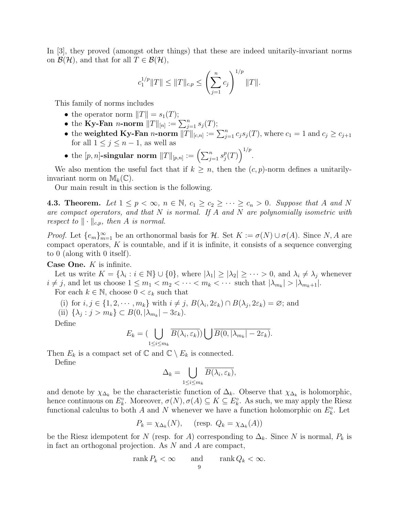In [3], they proved (amongst other things) that these are indeed unitarily-invariant norms on  $\mathcal{B}(\mathcal{H})$ , and that for all  $T \in \mathcal{B}(\mathcal{H})$ ,

$$
c_1^{1/p} ||T|| \le ||T||_{c,p} \le \left(\sum_{j=1}^n c_j\right)^{1/p} ||T||.
$$

This family of norms includes

- the operator norm  $||T|| = s_1(T);$
- the Ky-Fan *n*-norm  $||T||_{[n]} := \sum_{j=1}^{n} s_j(T);$
- the weighted Ky-Fan *n*-norm  $||\tilde{T}||_{[c,n]} := \sum_{j=1}^n c_j s_j(T)$ , where  $c_1 = 1$  and  $c_j \ge c_{j+1}$ for all  $1 \leq j \leq n-1$ , as well as
- $\bullet \text{ the } [p,n]\text{-singular norm } \|T\|_{[p,n]} := \left(\sum_{j=1}^n s_j^p\right)$  $\binom{p}{j}(T)\bigg)^{1/p}.$

We also mention the useful fact that if  $k \geq n$ , then the  $(c, p)$ -norm defines a unitarilyinvariant norm on  $\mathbb{M}_k(\mathbb{C})$ .

Our main result in this section is the following.

**4.3. Theorem.** Let  $1 \leq p < \infty$ ,  $n \in \mathbb{N}$ ,  $c_1 \geq c_2 \geq \cdots \geq c_n > 0$ . Suppose that A and N are compact operators, and that  $N$  is normal. If  $A$  and  $N$  are polynomially isometric with respect to  $\|\cdot\|_{c,p}$ , then A is normal.

*Proof.* Let  ${e_m}_{m=1}^{\infty}$  be an orthonormal basis for H. Set  $K := \sigma(N) \cup \sigma(A)$ . Since N, A are compact operators,  $K$  is countable, and if it is infinite, it consists of a sequence converging to 0 (along with 0 itself).

Case One.  $K$  is infinite.

Let us write  $K = {\lambda_i : i \in \mathbb{N}} \cup \{0\}$ , where  $|\lambda_1| \geq |\lambda_2| \geq \cdots > 0$ , and  $\lambda_i \neq \lambda_j$  whenever  $i \neq j$ , and let us choose  $1 \leq m_1 < m_2 < \cdots < m_k < \cdots$  such that  $|\lambda_{m_k}| > |\lambda_{m_k+1}|$ .

For each  $k \in \mathbb{N}$ , choose  $0 < \varepsilon_k$  such that

(i) for  $i, j \in \{1, 2, \dots, m_k\}$  with  $i \neq j$ ,  $B(\lambda_i, 2\varepsilon_k) \cap B(\lambda_j, 2\varepsilon_k) = \varnothing$ ; and

(ii)  $\{\lambda_j : j > m_k\} \subset B(0, |\lambda_{m_k}| - 3\varepsilon_k).$ 

Define

$$
E_k = \left(\bigcup_{1 \leq i \leq m_k} \overline{B(\lambda_i, \varepsilon_k)}\right) \bigcup \overline{B(0, |\lambda_{m_k}| - 2\varepsilon_k)}.
$$

Then  $E_k$  is a compact set of  $\mathbb C$  and  $\mathbb C \setminus E_k$  is connected.

Define

$$
\Delta_k = \bigcup_{1 \leq i \leq m_k} \overline{B(\lambda_i, \varepsilon_k)},
$$

and denote by  $\chi_{\Delta_k}$  be the characteristic function of  $\Delta_k$ . Observe that  $\chi_{\Delta_k}$  is holomorphic, hence continuous on  $E_k^{\circ}$ . Moreover,  $\sigma(N)$ ,  $\sigma(A) \subseteq K \subseteq E_k^{\circ}$ . As such, we may apply the Riesz functional calculus to both A and N whenever we have a function holomorphic on  $E_k^{\circ}$ . Let

$$
P_k = \chi_{\Delta_k}(N), \quad \text{(resp. } Q_k = \chi_{\Delta_k}(A))
$$

be the Riesz idempotent for N (resp. for A) corresponding to  $\Delta_k$ . Since N is normal,  $P_k$  is in fact an orthogonal projection. As N and A are compact,

$$
rank P_k < \infty \qquad \text{and} \qquad rank Q_k < \infty.
$$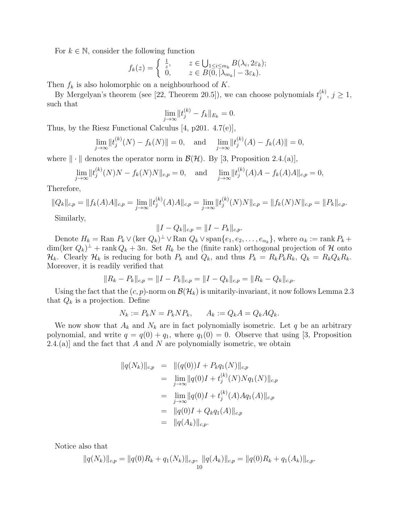For  $k \in \mathbb{N}$ , consider the following function

$$
f_k(z) = \begin{cases} \frac{1}{z}, & z \in \bigcup_{1 \le i \le m_k} B(\lambda_i, 2\varepsilon_k); \\ 0, & z \in B(0, |\lambda_{m_k}| - 3\varepsilon_k). \end{cases}
$$

Then  $f_k$  is also holomorphic on a neighbourhood of K.

By Mergelyan's theorem (see [22, Theorem 20.5]), we can choose polynomials  $t_i^{(k)}$  $j^{(\kappa)}$ ,  $j \geq 1$ , such that

$$
\lim_{j \to \infty} \|t_j^{(k)} - f_k\|_{E_k} = 0.
$$

Thus, by the Riesz Functional Calculus [4, p201. 4.7(e)],

$$
\lim_{j \to \infty} ||t_j^{(k)}(N) - f_k(N)|| = 0, \text{ and } \lim_{j \to \infty} ||t_j^{(k)}(A) - f_k(A)|| = 0,
$$

where  $\|\cdot\|$  denotes the operator norm in  $\mathcal{B}(\mathcal{H})$ . By [3, Proposition 2.4.(a)],

$$
\lim_{j \to \infty} ||t_j^{(k)}(N)N - f_k(N)N||_{c,p} = 0, \text{ and } \lim_{j \to \infty} ||t_j^{(k)}(A)A - f_k(A)A||_{c,p} = 0,
$$

Therefore,

$$
||Q_k||_{c,p} = ||f_k(A)A||_{c,p} = \lim_{j \to \infty} ||t_j^{(k)}(A)A||_{c,p} = \lim_{j \to \infty} ||t_j^{(k)}(N)N||_{c,p} = ||f_k(N)N||_{c,p} = ||P_k||_{c,p}.
$$

Similarly,

$$
||I - Q_k||_{c,p} = ||I - P_k||_{c,p}.
$$

Denote  $H_k = \text{Ran } P_k \vee (\text{ker } Q_k)^\perp \vee \text{Ran } Q_k \vee \text{span}\{e_1, e_2, \ldots, e_{\alpha_k}\}, \text{ where } \alpha_k := \text{rank } P_k +$  $\dim(\ker Q_k)^{\perp}$  + rank  $Q_k + 3n$ . Set  $R_k$  be the (finite rank) orthogonal projection of H onto  $\mathcal{H}_k$ . Clearly  $\mathcal{H}_k$  is reducing for both  $P_k$  and  $Q_k$ , and thus  $P_k = R_k P_k R_k$ ,  $Q_k = R_k Q_k R_k$ . Moreover, it is readily verified that

$$
||R_k - P_k||_{c,p} = ||I - P_k||_{c,p} = ||I - Q_k||_{c,p} = ||R_k - Q_k||_{c,p}.
$$

Using the fact that the  $(c, p)$ -norm on  $\mathcal{B}(\mathcal{H}_k)$  is unitarily-invariant, it now follows Lemma 2.3 that  $Q_k$  is a projection. Define

$$
N_k := P_k N = P_k N P_k, \qquad A_k := Q_k A = Q_k A Q_k.
$$

We now show that  $A_k$  and  $N_k$  are in fact polynomially isometric. Let q be an arbitrary polynomial, and write  $q = q(0) + q_1$ , where  $q_1(0) = 0$ . Observe that using [3, Proposition 2.4.(a)] and the fact that A and N are polynomially isometric, we obtain

$$
||q(N_k)||_{c,p} = ||(q(0))I + P_k q_1(N)||_{c,p}
$$
  
\n
$$
= \lim_{j \to \infty} ||q(0)I + t_j^{(k)}(N)Nq_1(N)||_{c,p}
$$
  
\n
$$
= \lim_{j \to \infty} ||q(0)I + t_j^{(k)}(A)Aq_1(A)||_{c,p}
$$
  
\n
$$
= ||q(0)I + Q_k q_1(A)||_{c,p}
$$
  
\n
$$
= ||q(A_k)||_{c,p}.
$$

Notice also that

$$
||q(N_k)||_{c,p} = ||q(0)R_k + q_1(N_k)||_{c,p}, ||q(A_k)||_{c,p} = ||q(0)R_k + q_1(A_k)||_{c,p}.
$$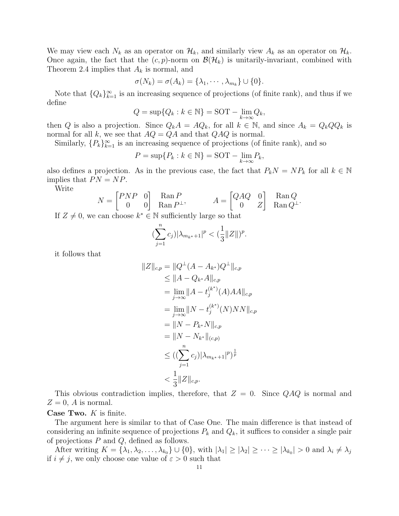We may view each  $N_k$  as an operator on  $\mathcal{H}_k$ , and similarly view  $A_k$  as an operator on  $\mathcal{H}_k$ . Once again, the fact that the  $(c, p)$ -norm on  $\mathcal{B}(\mathcal{H}_k)$  is unitarily-invariant, combined with Theorem 2.4 implies that  $A_k$  is normal, and

$$
\sigma(N_k) = \sigma(A_k) = \{\lambda_1, \cdots, \lambda_{m_k}\} \cup \{0\}.
$$

Note that  $\{Q_k\}_{k=1}^{\infty}$  is an increasing sequence of projections (of finite rank), and thus if we define

$$
Q = \sup\{Q_k : k \in \mathbb{N}\} = \text{SOT} - \lim_{k \to \infty} Q_k,
$$

then Q is also a projection. Since  $Q_kA = AQ_k$ , for all  $k \in \mathbb{N}$ , and since  $A_k = Q_kQQ_k$  is normal for all k, we see that  $AQ = QA$  and that  $QAQ$  is normal.

Similarly,  $\{P_k\}_{k=1}^{\infty}$  is an increasing sequence of projections (of finite rank), and so

$$
P = \sup\{P_k : k \in \mathbb{N}\} = \text{SOT} - \lim_{k \to \infty} P_k,
$$

also defines a projection. As in the previous case, the fact that  $P_kN = NP_k$  for all  $k \in \mathbb{N}$ implies that  $PN = NP$ .

Write

$$
N = \begin{bmatrix} PNP & 0 \\ 0 & 0 \end{bmatrix} \begin{matrix} \text{Ran } P \\ \text{Ran } P^{\perp}, \end{matrix} \qquad A = \begin{bmatrix} QAQ & 0 \\ 0 & Z \end{bmatrix} \begin{matrix} \text{Ran } Q \\ \text{Ran } Q^{\perp}. \end{matrix}
$$

If  $Z \neq 0$ , we can choose  $k^* \in \mathbb{N}$  sufficiently large so that

$$
(\sum_{j=1}^n c_j) |\lambda_{m_{k^*}+1}|^p < (\frac{1}{3} ||Z||)^p
$$

.

it follows that

$$
||Z||_{c,p} = ||Q^{\perp}(A - A_{k^*})Q^{\perp}||_{c,p}
$$
  
\n
$$
\leq ||A - Q_{k^*}A||_{c,p}
$$
  
\n
$$
= \lim_{j \to \infty} ||A - t_j^{(k^*)}(A)AA||_{c,p}
$$
  
\n
$$
= \lim_{j \to \infty} ||N - t_j^{(k^*)}(N)NN||_{c,p}
$$
  
\n
$$
= ||N - P_{k^*}N||_{c,p}
$$
  
\n
$$
= ||N - N_{k^*}||_{(c,p)}
$$
  
\n
$$
\leq ((\sum_{j=1}^n c_j)|\lambda_{m_{k^*}+1}|^p)^{\frac{1}{p}}
$$
  
\n
$$
< \frac{1}{3}||Z||_{c,p}.
$$

This obvious contradiction implies, therefore, that  $Z = 0$ . Since  $QAQ$  is normal and  $Z=0$ , A is normal.

## **Case Two.**  $K$  is finite.

The argument here is similar to that of Case One. The main difference is that instead of considering an infinite sequence of projections  $P_k$  and  $Q_k$ , it suffices to consider a single pair of projections  $P$  and  $Q$ , defined as follows.

After writing  $K = \{\lambda_1, \lambda_2, \ldots, \lambda_{k_0}\} \cup \{0\}$ , with  $|\lambda_1| \geq |\lambda_2| \geq \cdots \geq |\lambda_{k_0}| > 0$  and  $\lambda_i \neq \lambda_j$ if  $i \neq j$ , we only choose one value of  $\varepsilon > 0$  such that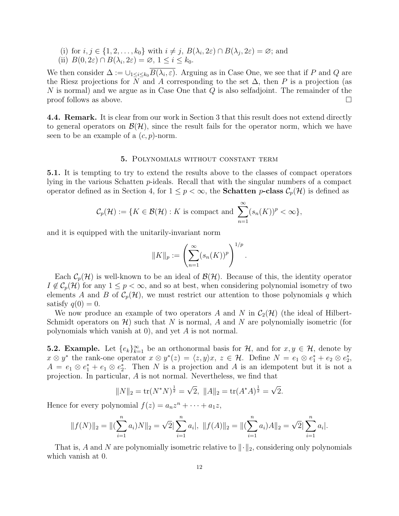- (i) for  $i, j \in \{1, 2, \ldots, k_0\}$  with  $i \neq j$ ,  $B(\lambda_i, 2\varepsilon) \cap B(\lambda_j, 2\varepsilon) = \varnothing$ ; and
- (ii)  $B(0, 2\varepsilon) \cap B(\lambda_i, 2\varepsilon) = \emptyset, 1 \le i \le k_0.$

We then consider  $\Delta := \cup_{1 \leq i \leq k_0} B(\lambda_i, \varepsilon)$ . Arguing as in Case One, we see that if P and Q are the Riesz projections for N and A corresponding to the set  $\Delta$ , then P is a projection (as N is normal) and we argue as in Case One that Q is also selfadjoint. The remainder of the  $\Box$  proof follows as above.

4.4. Remark. It is clear from our work in Section 3 that this result does not extend directly to general operators on  $\mathcal{B}(\mathcal{H})$ , since the result fails for the operator norm, which we have seen to be an example of a  $(c, p)$ -norm.

## 5. Polynomials without constant term

5.1. It is tempting to try to extend the results above to the classes of compact operators lying in the various Schatten p-ideals. Recall that with the singular numbers of a compact operator defined as in Section 4, for  $1 \leq p < \infty$ , the **Schatten p-class**  $\mathcal{C}_p(\mathcal{H})$  is defined as

$$
\mathcal{C}_p(\mathcal{H}) := \{ K \in \mathcal{B}(\mathcal{H}) : K \text{ is compact and } \sum_{n=1}^{\infty} (s_n(K))^p < \infty \},
$$

and it is equipped with the unitarily-invariant norm

$$
||K||_p := \left(\sum_{n=1}^{\infty} (s_n(K))^p\right)^{1/p}
$$

.

Each  $\mathcal{C}_p(\mathcal{H})$  is well-known to be an ideal of  $\mathcal{B}(\mathcal{H})$ . Because of this, the identity operator  $I \notin C_p(\mathcal{H})$  for any  $1 \leq p < \infty$ , and so at best, when considering polynomial isometry of two elements A and B of  $\mathcal{C}_p(\mathcal{H})$ , we must restrict our attention to those polynomials q which satisfy  $q(0) = 0$ .

We now produce an example of two operators A and N in  $C_2(\mathcal{H})$  (the ideal of Hilbert-Schmidt operators on  $\mathcal{H}$ ) such that N is normal, A and N are polynomially isometric (for polynomials which vanish at 0), and yet  $A$  is not normal.

**5.2. Example.** Let  $\{e_k\}_{k=1}^{\infty}$  be an orthonormal basis for  $\mathcal{H}$ , and for  $x, y \in \mathcal{H}$ , denote by  $x \otimes y^*$  the rank-one operator  $x \otimes y^*(z) = \langle z, y \rangle x, z \in \mathcal{H}$ . Define  $N = e_1 \otimes e_1^* + e_2 \otimes e_2^*$ ,  $A = e_1 \otimes e_1^* + e_1 \otimes e_2^*$ . Then N is a projection and A is an idempotent but it is not a projection. In particular, A is not normal. Nevertheless, we find that

$$
||N||_2 = \text{tr}(N^*N)^{\frac{1}{2}} = \sqrt{2}, ||A||_2 = \text{tr}(A^*A)^{\frac{1}{2}} = \sqrt{2}.
$$

Hence for every polynomial  $f(z) = a_n z^n + \cdots + a_1 z$ ,

$$
||f(N)||_2 = ||(\sum_{i=1}^n a_i)N||_2 = \sqrt{2}|\sum_{i=1}^n a_i|, ||f(A)||_2 = ||(\sum_{i=1}^n a_i)A||_2 = \sqrt{2}|\sum_{i=1}^n a_i|.
$$

That is, A and N are polynomially isometric relative to  $\|\cdot\|_2$ , considering only polynomials which vanish at 0.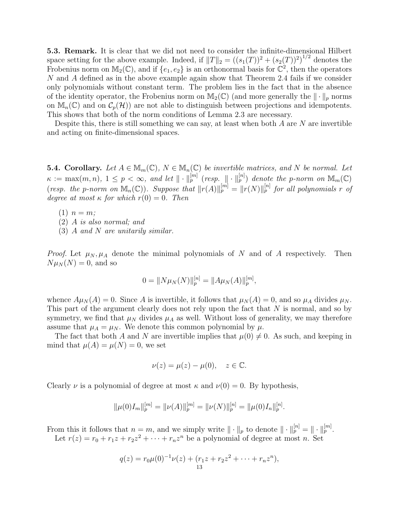5.3. Remark. It is clear that we did not need to consider the infinite-dimensional Hilbert space setting for the above example. Indeed, if  $||T||_2 = ((s_1(T))^2 + (s_2(T))^2)^{1/2}$  denotes the Frobenius norm on  $M_2(\mathbb{C})$ , and if  $\{e_1, e_2\}$  is an orthonormal basis for  $\mathbb{C}^2$ , then the operators N and A defined as in the above example again show that Theorem 2.4 fails if we consider only polynomials without constant term. The problem lies in the fact that in the absence of the identity operator, the Frobenius norm on  $M_2(\mathbb{C})$  (and more generally the  $\|\cdot\|_p$  norms on  $\mathbb{M}_n(\mathbb{C})$  and on  $\mathcal{C}_p(\mathcal{H})$  are not able to distinguish between projections and idempotents. This shows that both of the norm conditions of Lemma 2.3 are necessary.

Despite this, there is still something we can say, at least when both  $A$  are  $N$  are invertible and acting on finite-dimensional spaces.

**5.4. Corollary.** Let  $A \in M_m(\mathbb{C})$ ,  $N \in M_n(\mathbb{C})$  be invertible matrices, and N be normal. Let  $\kappa := \max(m, n), 1 \leq p < \infty$ , and let  $\|\cdot\|_p^{[m]}$  (resp.  $\|\cdot\|_p^{[n]}$ ) denote the p-norm on  $\mathbb{M}_m(\mathbb{C})$ (resp. the p-norm on  $\mathbb{M}_n(\mathbb{C})$ ). Suppose that  $||r(A)||_p^{[m]} = ||r(N)||_p^{[n]}$  for all polynomials r of degree at most  $\kappa$  for which  $r(0) = 0$ . Then

 $(1)$   $n = m$ ;

(2) A is also normal; and

(3) A and N are unitarily similar.

*Proof.* Let  $\mu_N, \mu_A$  denote the minimal polynomials of N and of A respectively. Then  $N\mu_N(N) = 0$ , and so

$$
0 = \|N\mu_N(N)\|_p^{[n]} = \|A\mu_N(A)\|_p^{[m]},
$$

whence  $A\mu_N(A) = 0$ . Since A is invertible, it follows that  $\mu_N(A) = 0$ , and so  $\mu_A$  divides  $\mu_N$ . This part of the argument clearly does not rely upon the fact that N is normal, and so by symmetry, we find that  $\mu_N$  divides  $\mu_A$  as well. Without loss of generality, we may therefore assume that  $\mu_A = \mu_N$ . We denote this common polynomial by  $\mu$ .

The fact that both A and N are invertible implies that  $\mu(0) \neq 0$ . As such, and keeping in mind that  $\mu(A) = \mu(N) = 0$ , we set

$$
\nu(z) = \mu(z) - \mu(0), \quad z \in \mathbb{C}.
$$

Clearly  $\nu$  is a polynomial of degree at most  $\kappa$  and  $\nu(0) = 0$ . By hypothesis,

$$
\|\mu(0)I_m\|_p^{[m]} = \|\nu(A)\|_p^{[m]} = \|\nu(N)\|_p^{[n]} = \|\mu(0)I_n\|_p^{[n]}.
$$

From this it follows that  $n = m$ , and we simply write  $\|\cdot\|_p$  to denote  $\|\cdot\|_p^{[n]} = \|\cdot\|_p^{[m]}$ .

Let  $r(z) = r_0 + r_1 z + r_2 z^2 + \cdots + r_n z^n$  be a polynomial of degree at most n. Set

$$
q(z) = r_0 \mu(0)^{-1} \nu(z) + (r_1 z + r_2 z^2 + \dots + r_n z^n),
$$
  
13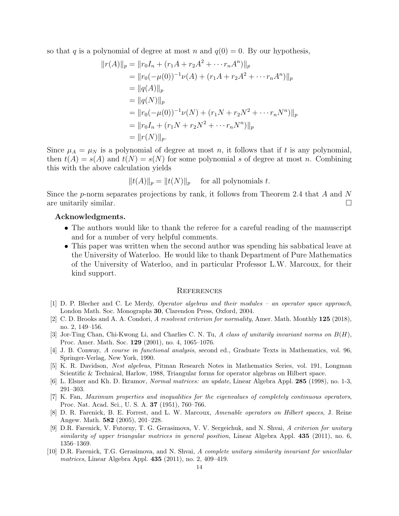so that q is a polynomial of degree at most n and  $q(0) = 0$ . By our hypothesis,

$$
||r(A)||_p = ||r_0I_n + (r_1A + r_2A^2 + \cdots r_nA^n)||_p
$$
  
\n
$$
= ||r_0(-\mu(0))^{-1}\nu(A) + (r_1A + r_2A^2 + \cdots r_nA^n)||_p
$$
  
\n
$$
= ||q(A)||_p
$$
  
\n
$$
= ||q(N)||_p
$$
  
\n
$$
= ||r_0(-\mu(0))^{-1}\nu(N) + (r_1N + r_2N^2 + \cdots r_nN^n)||_p
$$
  
\n
$$
= ||r_0I_n + (r_1N + r_2N^2 + \cdots r_nN^n)||_p
$$
  
\n
$$
= ||r(N)||_p.
$$

Since  $\mu_A = \mu_N$  is a polynomial of degree at most n, it follows that if t is any polynomial, then  $t(A) = s(A)$  and  $t(N) = s(N)$  for some polynomial s of degree at most n. Combining this with the above calculation yields

$$
||t(A)||_p = ||t(N)||_p \quad \text{ for all polynomials } t.
$$

Since the p-norm separates projections by rank, it follows from Theorem 2.4 that A and N are unitarily similar.  $\square$ 

# Acknowledgments.

- The authors would like to thank the referee for a careful reading of the manuscript and for a number of very helpful comments.
- This paper was written when the second author was spending his sabbatical leave at the University of Waterloo. He would like to thank Department of Pure Mathematics of the University of Waterloo, and in particular Professor L.W. Marcoux, for their kind support.

#### **REFERENCES**

- [1] D. P. Blecher and C. Le Merdy, Operator algebras and their modules an operator space approach, London Math. Soc. Monographs 30, Clarendon Press, Oxford, 2004.
- [2] C. D. Brooks and A. A. Condori, A resolvent criterion for normality, Amer. Math. Monthly 125 (2018), no. 2, 149–156.
- [3] Jor-Ting Chan, Chi-Kwong Li, and Charlies C. N. Tu, A class of unitarily invariant norms on  $B(H)$ , Proc. Amer. Math. Soc. 129 (2001), no. 4, 1065–1076.
- [4] J. B. Conway, A course in functional analysis, second ed., Graduate Texts in Mathematics, vol. 96, Springer-Verlag, New York, 1990.
- [5] K. R. Davidson, Nest algebras, Pitman Research Notes in Mathematics Series, vol. 191, Longman Scientific & Technical, Harlow, 1988, Triangular forms for operator algebras on Hilbert space.
- [6] L. Elsner and Kh. D. Ikramov, Normal matrices: an update, Linear Algebra Appl. 285 (1998), no. 1-3, 291–303.
- [7] K. Fan, Maximum properties and inequalities for the eigenvalues of completely continuous operators, Proc. Nat. Acad. Sci., U. S. A. 37 (1951), 760–766.
- [8] D. R. Farenick, B. E. Forrest, and L. W. Marcoux, Amenable operators on Hilbert spaces, J. Reine Angew. Math. 582 (2005), 201–228.
- [9] D.R. Farenick, V. Futorny, T. G. Gerasimova, V. V. Sergeichuk, and N. Shvai, A criterion for unitary similarity of upper triangular matrices in general position, Linear Algebra Appl. 435 (2011), no. 6, 1356–1369.
- [10] D.R. Farenick, T.G. Gerasimova, and N. Shvai, A complete unitary similarity invariant for unicellular matrices, Linear Algebra Appl. 435 (2011), no. 2, 409–419.